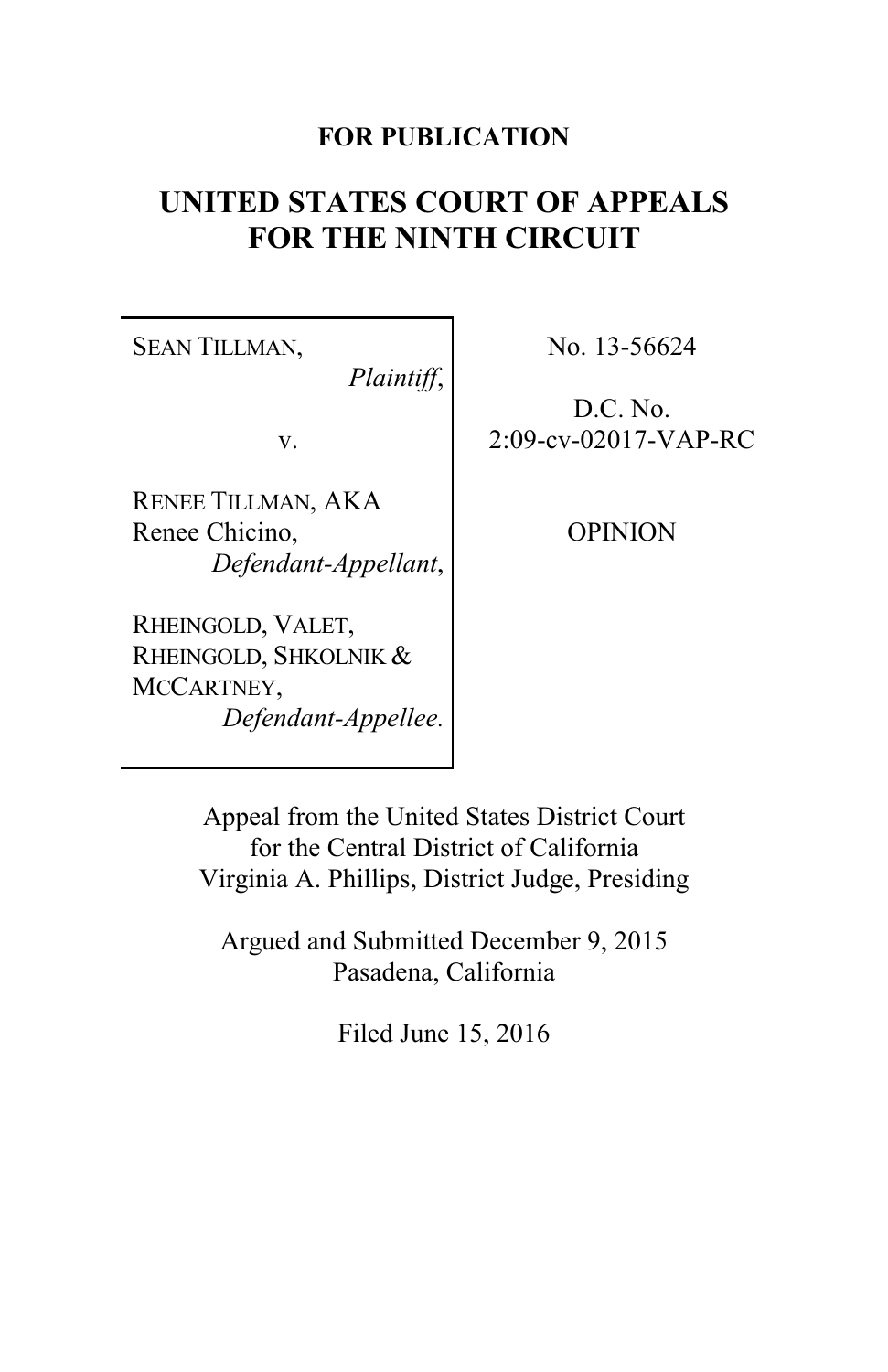# **FOR PUBLICATION**

# **UNITED STATES COURT OF APPEALS FOR THE NINTH CIRCUIT**

SEAN TILLMAN,

*Plaintiff*,

v.

RENEE TILLMAN, AKA Renee Chicino, *Defendant-Appellant*,

RHEINGOLD, VALET, RHEINGOLD, SHKOLNIK & MCCARTNEY, *Defendant-Appellee.* No. 13-56624

D.C. No. 2:09-cv-02017-VAP-RC

OPINION

Appeal from the United States District Court for the Central District of California Virginia A. Phillips, District Judge, Presiding

Argued and Submitted December 9, 2015 Pasadena, California

Filed June 15, 2016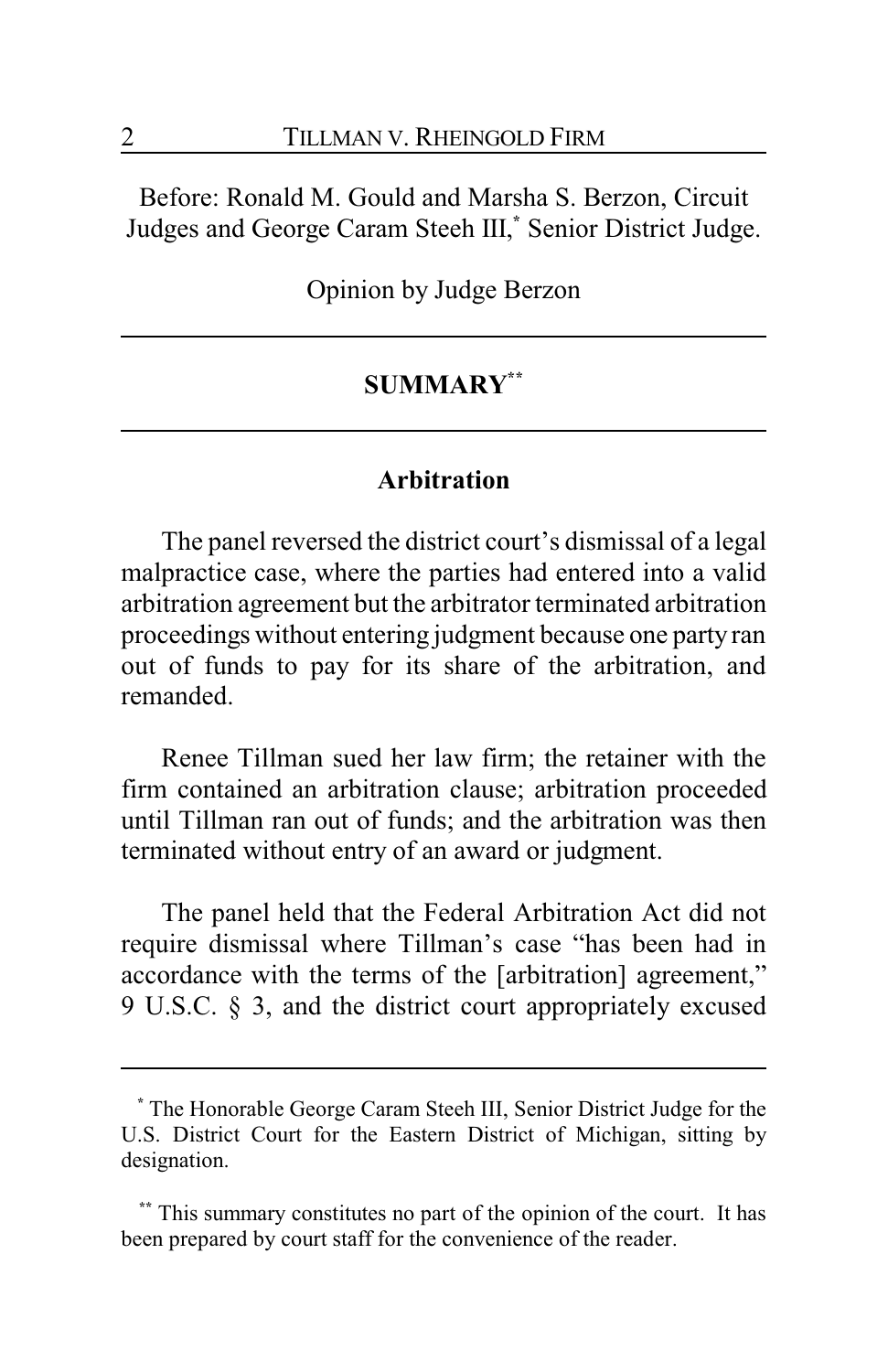Before: Ronald M. Gould and Marsha S. Berzon, Circuit Judges and George Caram Steeh III, **\*** Senior District Judge.

Opinion by Judge Berzon

# **SUMMARY\*\***

### **Arbitration**

The panel reversed the district court's dismissal of a legal malpractice case, where the parties had entered into a valid arbitration agreement but the arbitrator terminated arbitration proceedings without entering judgment because one party ran out of funds to pay for its share of the arbitration, and remanded.

Renee Tillman sued her law firm; the retainer with the firm contained an arbitration clause; arbitration proceeded until Tillman ran out of funds; and the arbitration was then terminated without entry of an award or judgment.

The panel held that the Federal Arbitration Act did not require dismissal where Tillman's case "has been had in accordance with the terms of the [arbitration] agreement," 9 U.S.C. § 3, and the district court appropriately excused

**<sup>\*</sup>** The Honorable George Caram Steeh III, Senior District Judge for the U.S. District Court for the Eastern District of Michigan, sitting by designation.

This summary constitutes no part of the opinion of the court. It has been prepared by court staff for the convenience of the reader.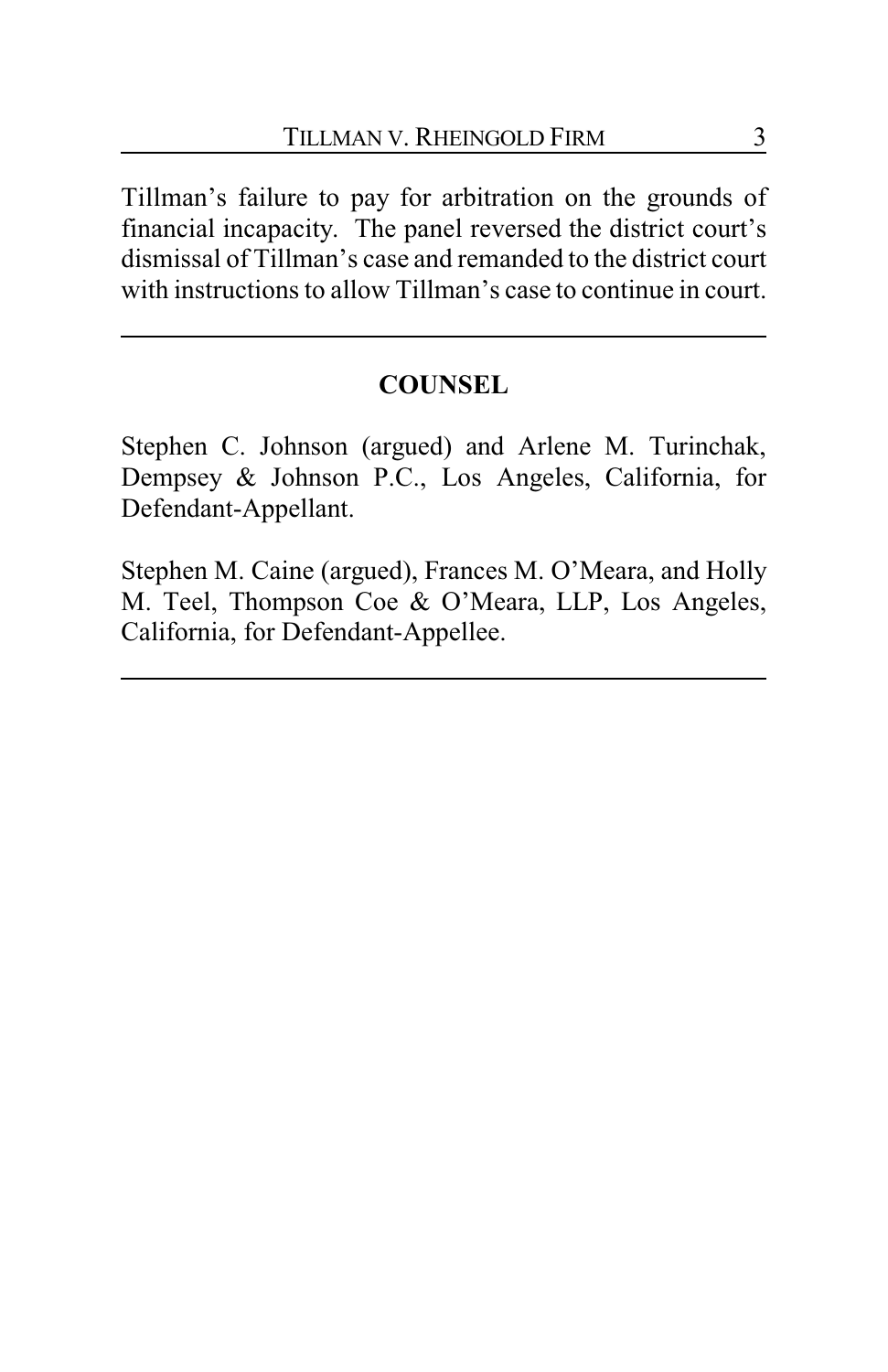Tillman's failure to pay for arbitration on the grounds of financial incapacity. The panel reversed the district court's dismissal of Tillman's case and remanded to the district court with instructions to allow Tillman's case to continue in court.

# **COUNSEL**

Stephen C. Johnson (argued) and Arlene M. Turinchak, Dempsey & Johnson P.C., Los Angeles, California, for Defendant-Appellant.

Stephen M. Caine (argued), Frances M. O'Meara, and Holly M. Teel, Thompson Coe & O'Meara, LLP, Los Angeles, California, for Defendant-Appellee.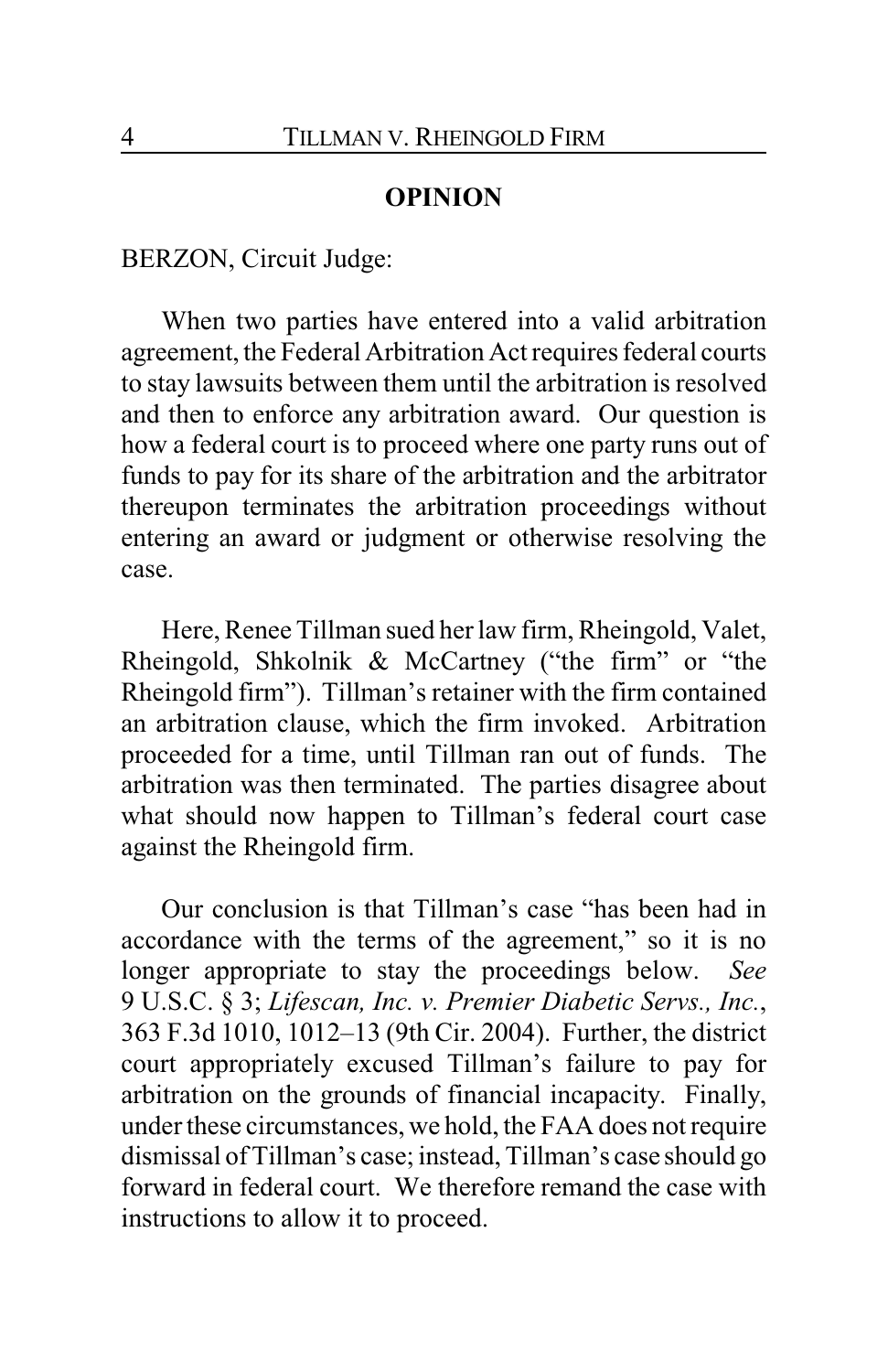#### **OPINION**

BERZON, Circuit Judge:

When two parties have entered into a valid arbitration agreement, the Federal Arbitration Act requires federal courts to stay lawsuits between them until the arbitration is resolved and then to enforce any arbitration award. Our question is how a federal court is to proceed where one party runs out of funds to pay for its share of the arbitration and the arbitrator thereupon terminates the arbitration proceedings without entering an award or judgment or otherwise resolving the case.

Here, Renee Tillman sued her law firm, Rheingold, Valet, Rheingold, Shkolnik & McCartney ("the firm" or "the Rheingold firm"). Tillman's retainer with the firm contained an arbitration clause, which the firm invoked. Arbitration proceeded for a time, until Tillman ran out of funds. The arbitration was then terminated. The parties disagree about what should now happen to Tillman's federal court case against the Rheingold firm.

Our conclusion is that Tillman's case "has been had in accordance with the terms of the agreement," so it is no longer appropriate to stay the proceedings below. *See* 9 U.S.C. § 3; *Lifescan, Inc. v. Premier Diabetic Servs., Inc.*, 363 F.3d 1010, 1012–13 (9th Cir. 2004). Further, the district court appropriately excused Tillman's failure to pay for arbitration on the grounds of financial incapacity. Finally, under these circumstances, we hold, the FAA does not require dismissal of Tillman's case; instead, Tillman's case should go forward in federal court. We therefore remand the case with instructions to allow it to proceed.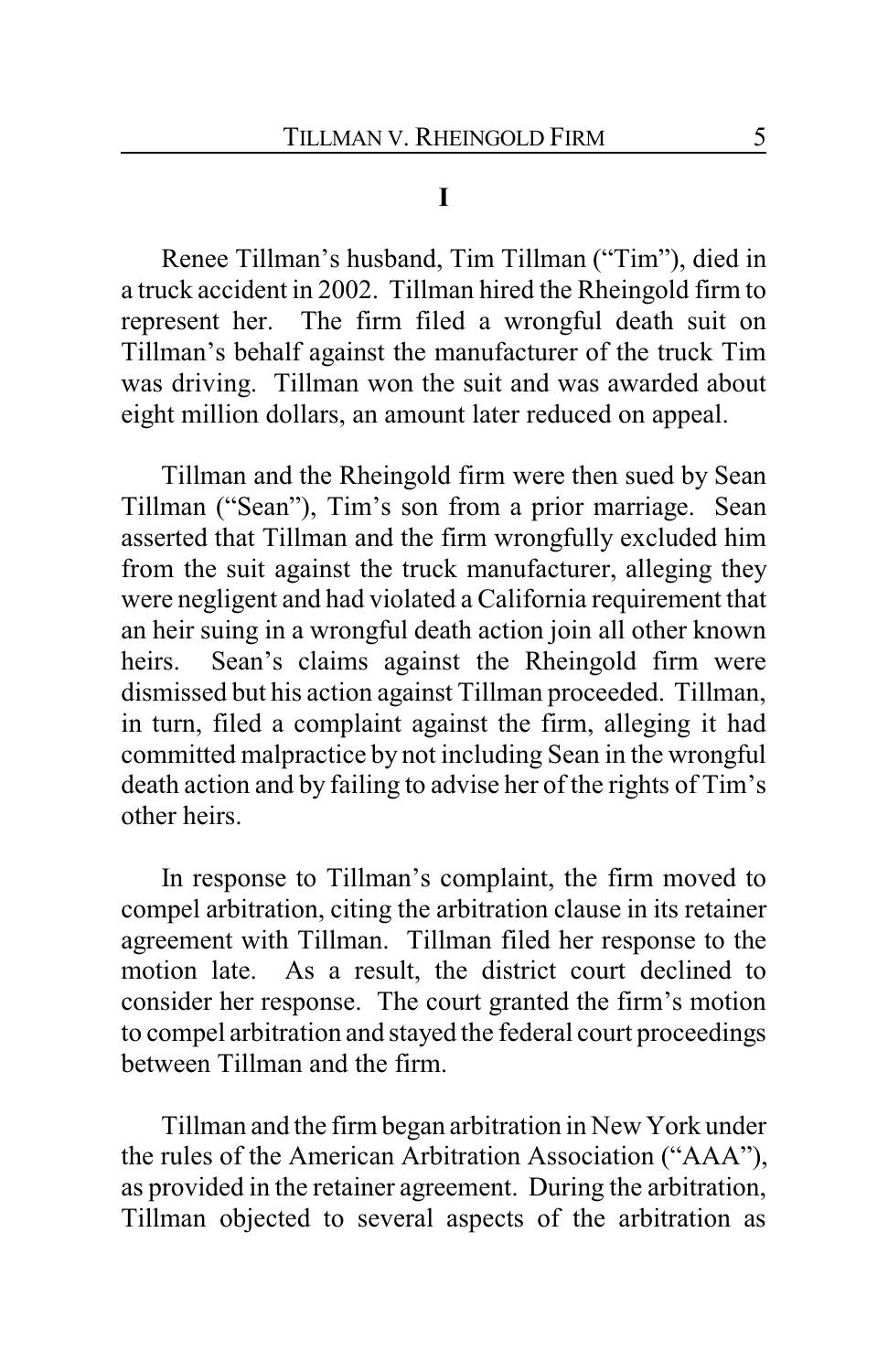#### **I**

Renee Tillman's husband, Tim Tillman ("Tim"), died in a truck accident in 2002. Tillman hired the Rheingold firm to represent her. The firm filed a wrongful death suit on Tillman's behalf against the manufacturer of the truck Tim was driving. Tillman won the suit and was awarded about eight million dollars, an amount later reduced on appeal.

Tillman and the Rheingold firm were then sued by Sean Tillman ("Sean"), Tim's son from a prior marriage. Sean asserted that Tillman and the firm wrongfully excluded him from the suit against the truck manufacturer, alleging they were negligent and had violated a California requirement that an heir suing in a wrongful death action join all other known heirs. Sean's claims against the Rheingold firm were dismissed but his action against Tillman proceeded. Tillman, in turn, filed a complaint against the firm, alleging it had committed malpractice by not including Sean in the wrongful death action and by failing to advise her of the rights of Tim's other heirs.

In response to Tillman's complaint, the firm moved to compel arbitration, citing the arbitration clause in its retainer agreement with Tillman. Tillman filed her response to the motion late. As a result, the district court declined to consider her response. The court granted the firm's motion to compel arbitration and stayed the federal court proceedings between Tillman and the firm.

Tillman and the firm began arbitration in New York under the rules of the American Arbitration Association ("AAA"), as provided in the retainer agreement. During the arbitration, Tillman objected to several aspects of the arbitration as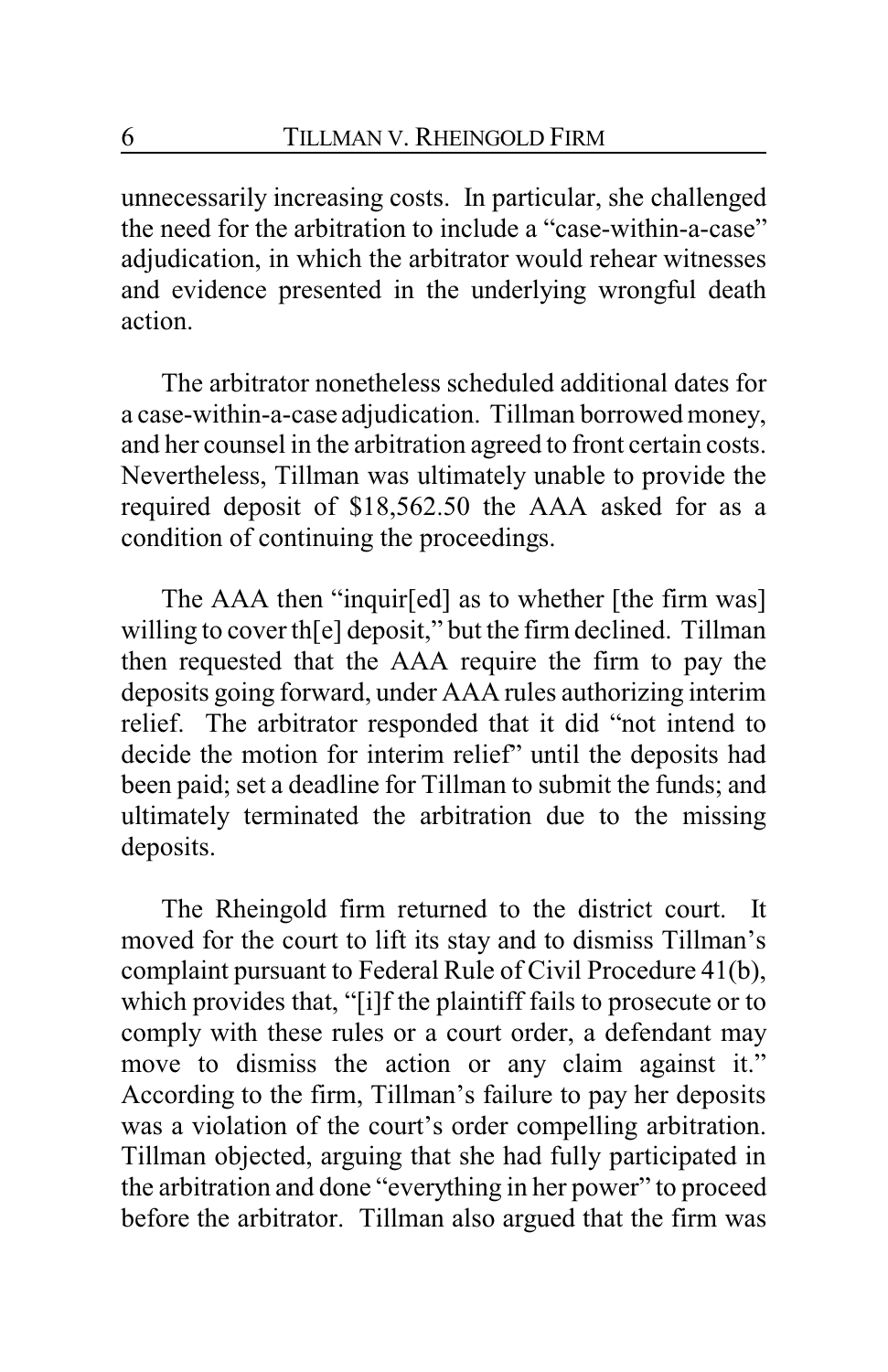unnecessarily increasing costs. In particular, she challenged the need for the arbitration to include a "case-within-a-case" adjudication, in which the arbitrator would rehear witnesses and evidence presented in the underlying wrongful death action.

The arbitrator nonetheless scheduled additional dates for a case-within-a-case adjudication. Tillman borrowed money, and her counsel in the arbitration agreed to front certain costs. Nevertheless, Tillman was ultimately unable to provide the required deposit of \$18,562.50 the AAA asked for as a condition of continuing the proceedings.

The AAA then "inquir[ed] as to whether [the firm was] willing to cover th[e] deposit," but the firm declined. Tillman then requested that the AAA require the firm to pay the deposits going forward, under AAA rules authorizing interim relief. The arbitrator responded that it did "not intend to decide the motion for interim relief" until the deposits had been paid; set a deadline for Tillman to submit the funds; and ultimately terminated the arbitration due to the missing deposits.

The Rheingold firm returned to the district court. It moved for the court to lift its stay and to dismiss Tillman's complaint pursuant to Federal Rule of Civil Procedure 41(b), which provides that, "[i]f the plaintiff fails to prosecute or to comply with these rules or a court order, a defendant may move to dismiss the action or any claim against it." According to the firm, Tillman's failure to pay her deposits was a violation of the court's order compelling arbitration. Tillman objected, arguing that she had fully participated in the arbitration and done "everything in her power" to proceed before the arbitrator. Tillman also argued that the firm was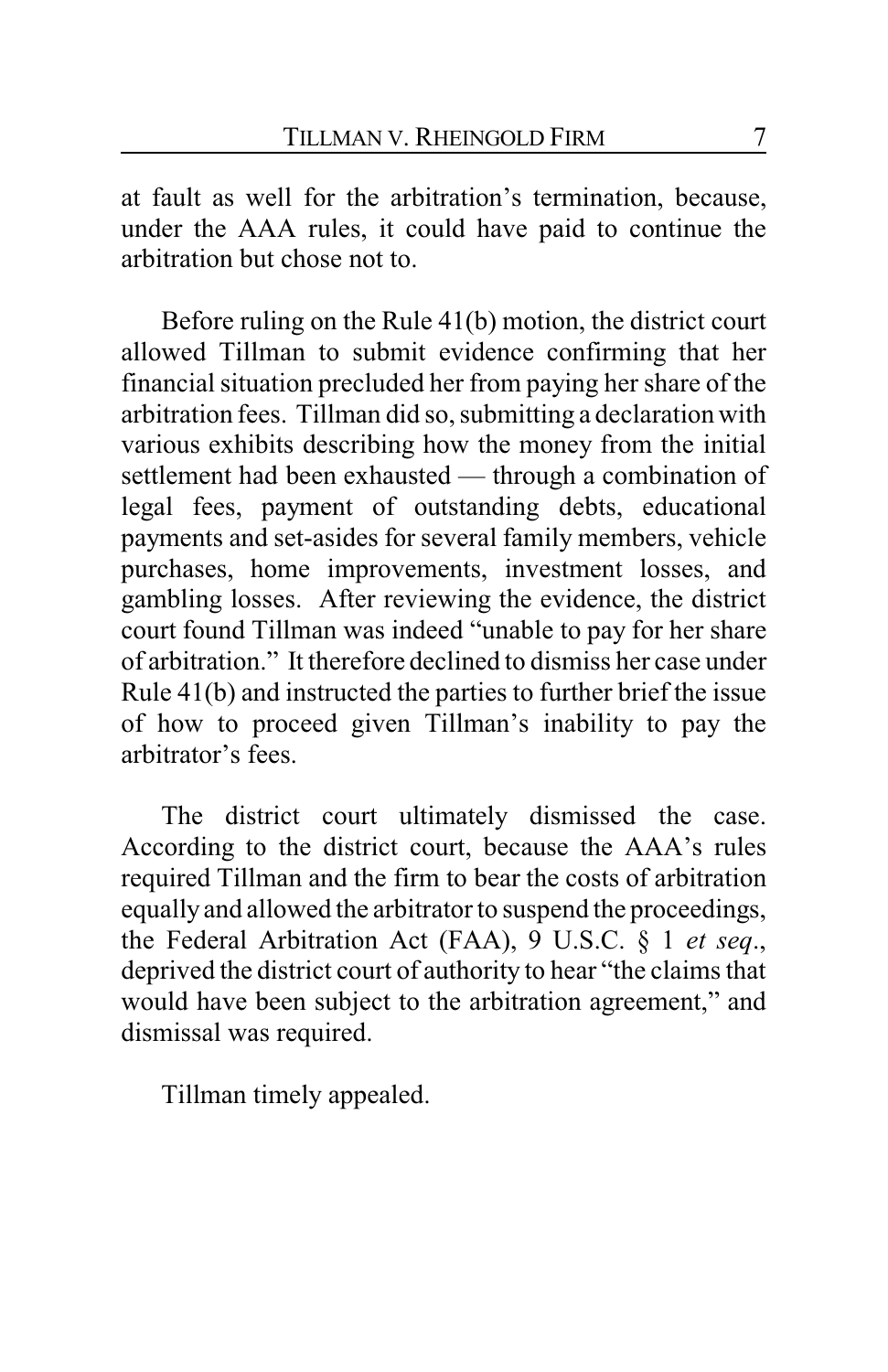at fault as well for the arbitration's termination, because, under the AAA rules, it could have paid to continue the arbitration but chose not to.

Before ruling on the Rule 41(b) motion, the district court allowed Tillman to submit evidence confirming that her financial situation precluded her from paying her share of the arbitration fees. Tillman did so, submitting a declaration with various exhibits describing how the money from the initial settlement had been exhausted — through a combination of legal fees, payment of outstanding debts, educational payments and set-asides for several family members, vehicle purchases, home improvements, investment losses, and gambling losses. After reviewing the evidence, the district court found Tillman was indeed "unable to pay for her share of arbitration." It therefore declined to dismiss her case under Rule 41(b) and instructed the parties to further brief the issue of how to proceed given Tillman's inability to pay the arbitrator's fees.

The district court ultimately dismissed the case. According to the district court, because the AAA's rules required Tillman and the firm to bear the costs of arbitration equallyand allowed the arbitrator to suspend the proceedings, the Federal Arbitration Act (FAA), 9 U.S.C. § 1 *et seq*., deprived the district court of authority to hear "the claims that would have been subject to the arbitration agreement," and dismissal was required.

Tillman timely appealed.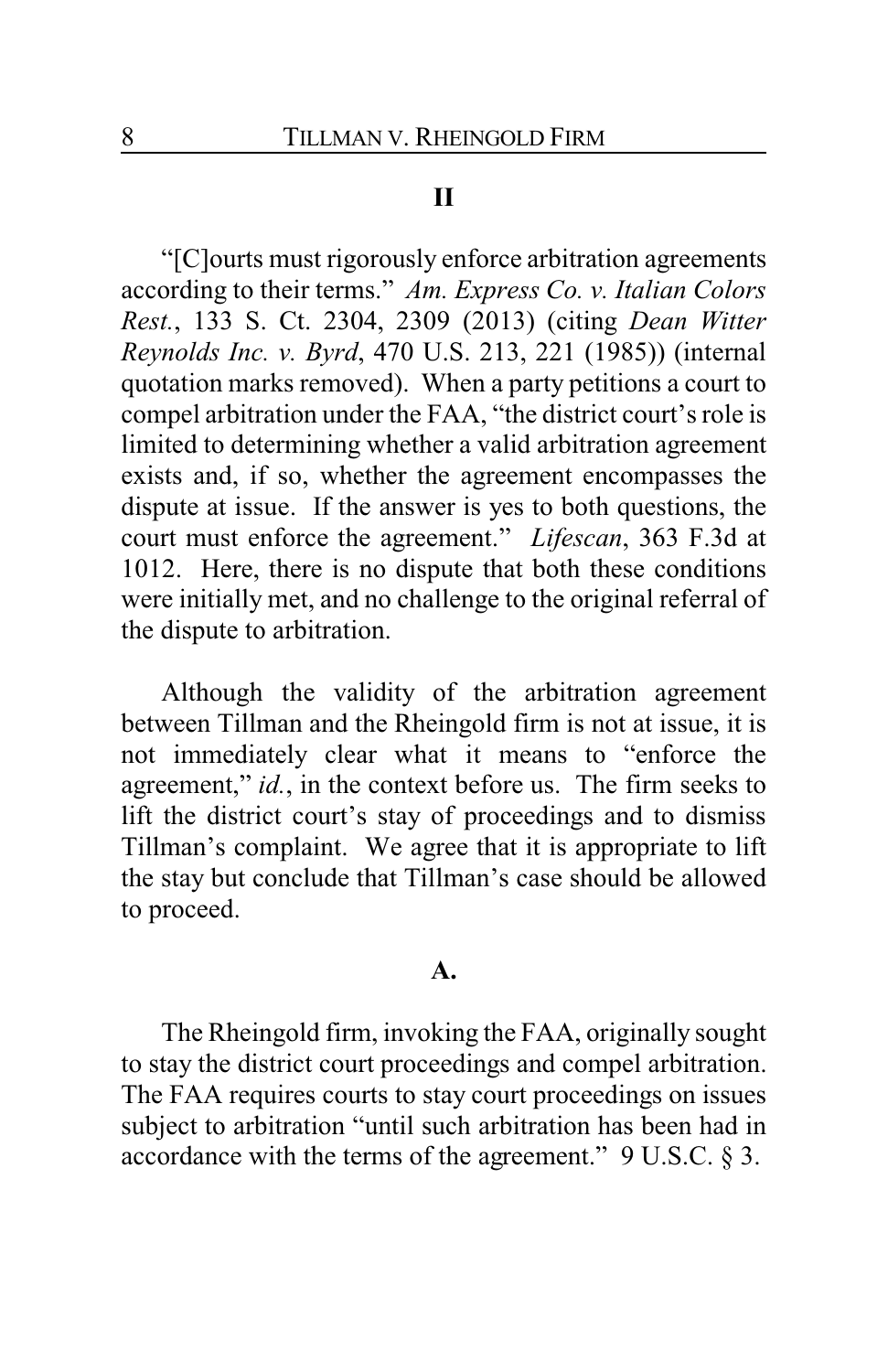# **II**

"[C]ourts must rigorously enforce arbitration agreements according to their terms." *Am. Express Co. v. Italian Colors Rest.*, 133 S. Ct. 2304, 2309 (2013) (citing *Dean Witter Reynolds Inc. v. Byrd*, 470 U.S. 213, 221 (1985)) (internal quotation marks removed). When a party petitions a court to compel arbitration under the FAA, "the district court's role is limited to determining whether a valid arbitration agreement exists and, if so, whether the agreement encompasses the dispute at issue. If the answer is yes to both questions, the court must enforce the agreement." *Lifescan*, 363 F.3d at 1012. Here, there is no dispute that both these conditions were initially met, and no challenge to the original referral of the dispute to arbitration.

Although the validity of the arbitration agreement between Tillman and the Rheingold firm is not at issue, it is not immediately clear what it means to "enforce the agreement," *id.*, in the context before us. The firm seeks to lift the district court's stay of proceedings and to dismiss Tillman's complaint. We agree that it is appropriate to lift the stay but conclude that Tillman's case should be allowed to proceed.

#### **A.**

The Rheingold firm, invoking the FAA, originally sought to stay the district court proceedings and compel arbitration. The FAA requires courts to stay court proceedings on issues subject to arbitration "until such arbitration has been had in accordance with the terms of the agreement." 9 U.S.C. § 3.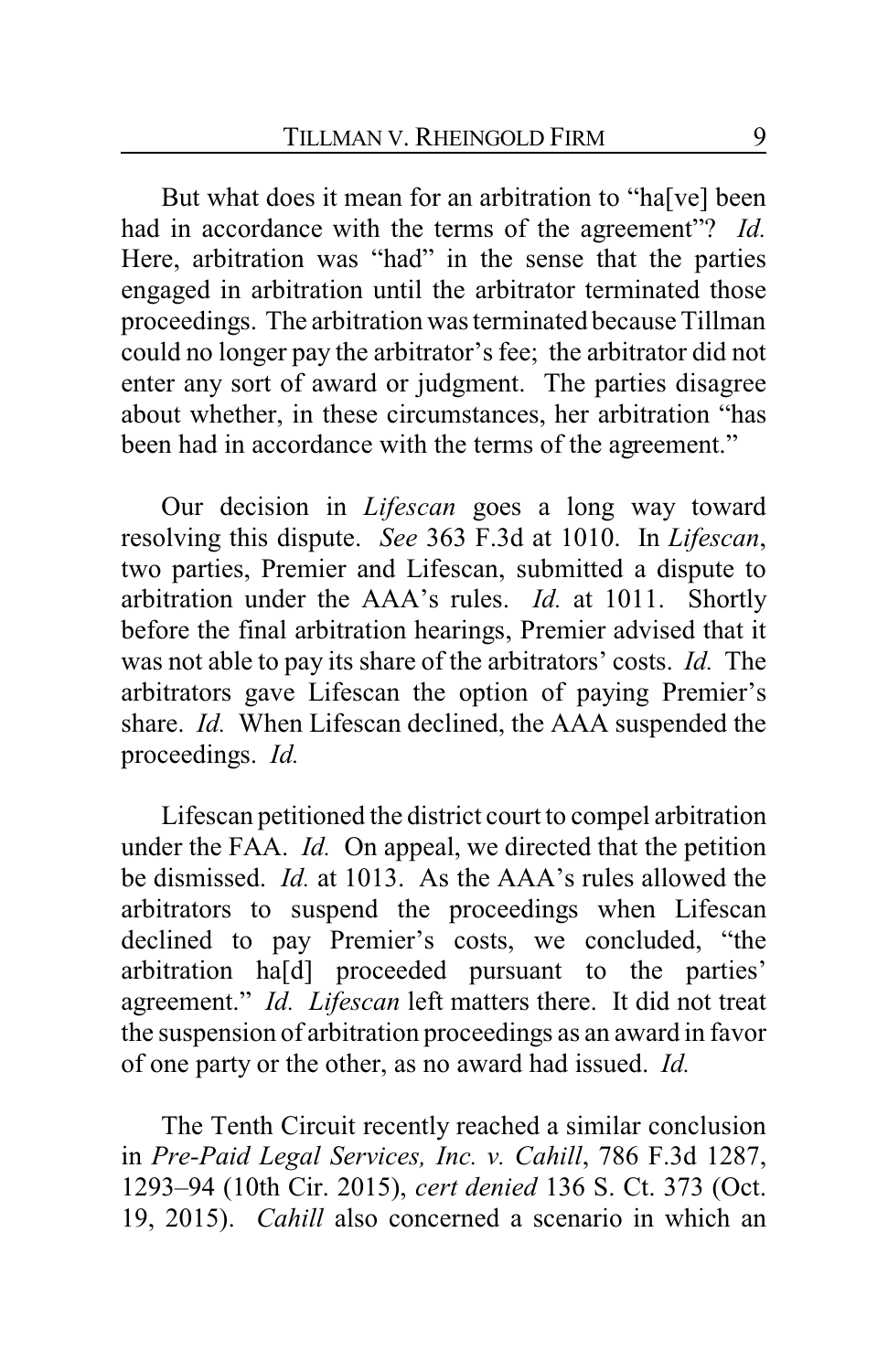But what does it mean for an arbitration to "ha[ve] been had in accordance with the terms of the agreement"? *Id.* Here, arbitration was "had" in the sense that the parties engaged in arbitration until the arbitrator terminated those proceedings. The arbitration was terminated because Tillman could no longer pay the arbitrator's fee; the arbitrator did not enter any sort of award or judgment. The parties disagree about whether, in these circumstances, her arbitration "has been had in accordance with the terms of the agreement."

Our decision in *Lifescan* goes a long way toward resolving this dispute. *See* 363 F.3d at 1010. In *Lifescan*, two parties, Premier and Lifescan, submitted a dispute to arbitration under the AAA's rules. *Id.* at 1011. Shortly before the final arbitration hearings, Premier advised that it was not able to pay its share of the arbitrators' costs. *Id.* The arbitrators gave Lifescan the option of paying Premier's share. *Id.* When Lifescan declined, the AAA suspended the proceedings. *Id.*

Lifescan petitioned the district court to compel arbitration under the FAA. *Id.* On appeal, we directed that the petition be dismissed. *Id.* at 1013. As the AAA's rules allowed the arbitrators to suspend the proceedings when Lifescan declined to pay Premier's costs, we concluded, "the arbitration ha[d] proceeded pursuant to the parties' agreement." *Id. Lifescan* left matters there. It did not treat the suspension of arbitration proceedings as an award in favor of one party or the other, as no award had issued. *Id.*

The Tenth Circuit recently reached a similar conclusion in *Pre-Paid Legal Services, Inc. v. Cahill*, 786 F.3d 1287, 1293–94 (10th Cir. 2015), *cert denied* 136 S. Ct. 373 (Oct. 19, 2015). *Cahill* also concerned a scenario in which an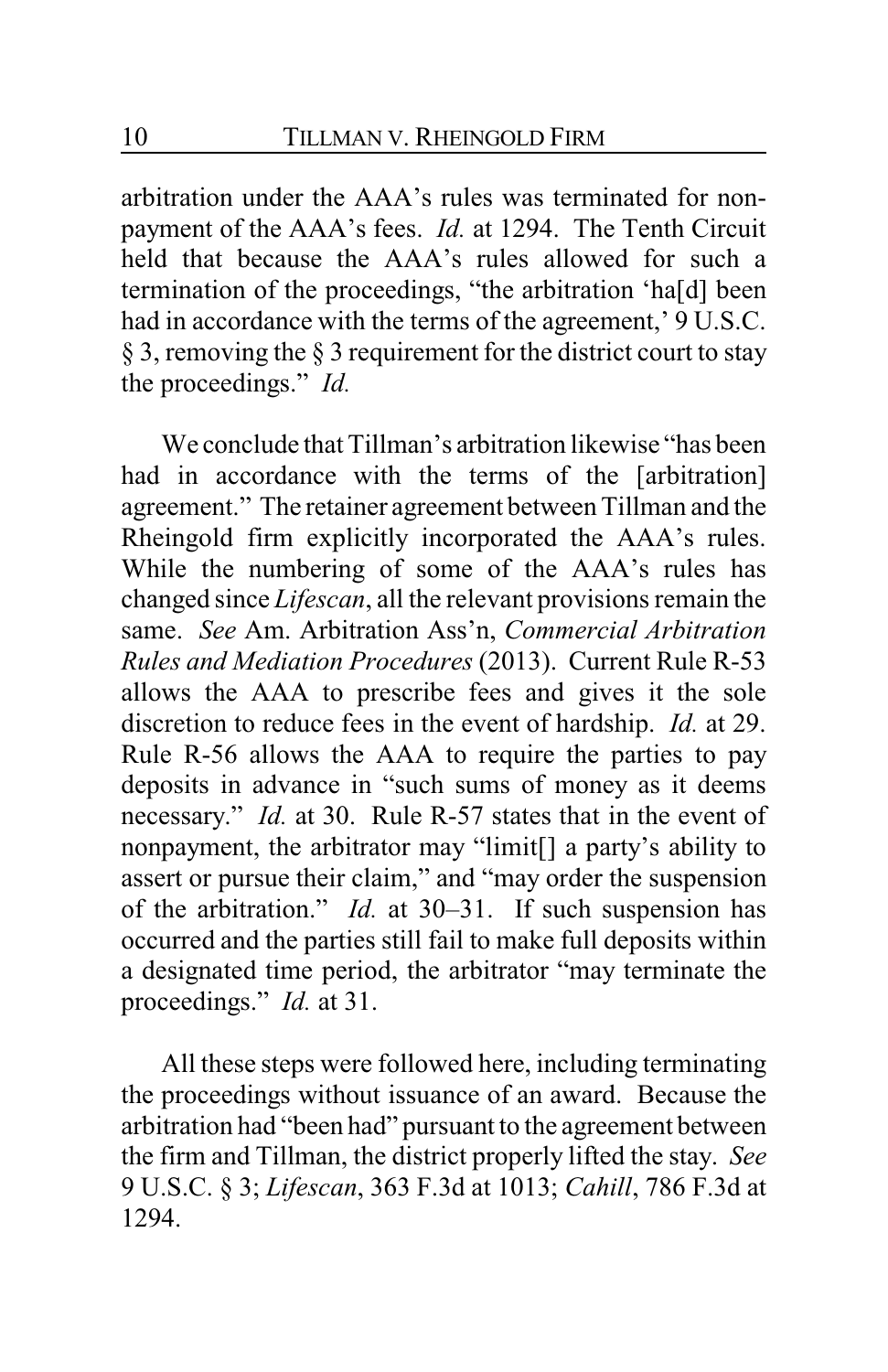arbitration under the AAA's rules was terminated for nonpayment of the AAA's fees. *Id.* at 1294. The Tenth Circuit held that because the AAA's rules allowed for such a termination of the proceedings, "the arbitration 'ha[d] been had in accordance with the terms of the agreement,' 9 U.S.C. § 3, removing the § 3 requirement for the district court to stay the proceedings." *Id.*

We conclude that Tillman's arbitration likewise "has been had in accordance with the terms of the [arbitration] agreement." The retainer agreement between Tillman and the Rheingold firm explicitly incorporated the AAA's rules. While the numbering of some of the AAA's rules has changed since *Lifescan*, all the relevant provisions remain the same. *See* Am. Arbitration Ass'n, *Commercial Arbitration Rules and Mediation Procedures* (2013). Current Rule R-53 allows the AAA to prescribe fees and gives it the sole discretion to reduce fees in the event of hardship. *Id.* at 29. Rule R-56 allows the AAA to require the parties to pay deposits in advance in "such sums of money as it deems necessary." *Id.* at 30. Rule R-57 states that in the event of nonpayment, the arbitrator may "limit[] a party's ability to assert or pursue their claim," and "may order the suspension of the arbitration." *Id.* at 30–31. If such suspension has occurred and the parties still fail to make full deposits within a designated time period, the arbitrator "may terminate the proceedings." *Id.* at 31.

All these steps were followed here, including terminating the proceedings without issuance of an award. Because the arbitration had "been had" pursuant to the agreement between the firm and Tillman, the district properly lifted the stay. *See* 9 U.S.C. § 3; *Lifescan*, 363 F.3d at 1013; *Cahill*, 786 F.3d at 1294.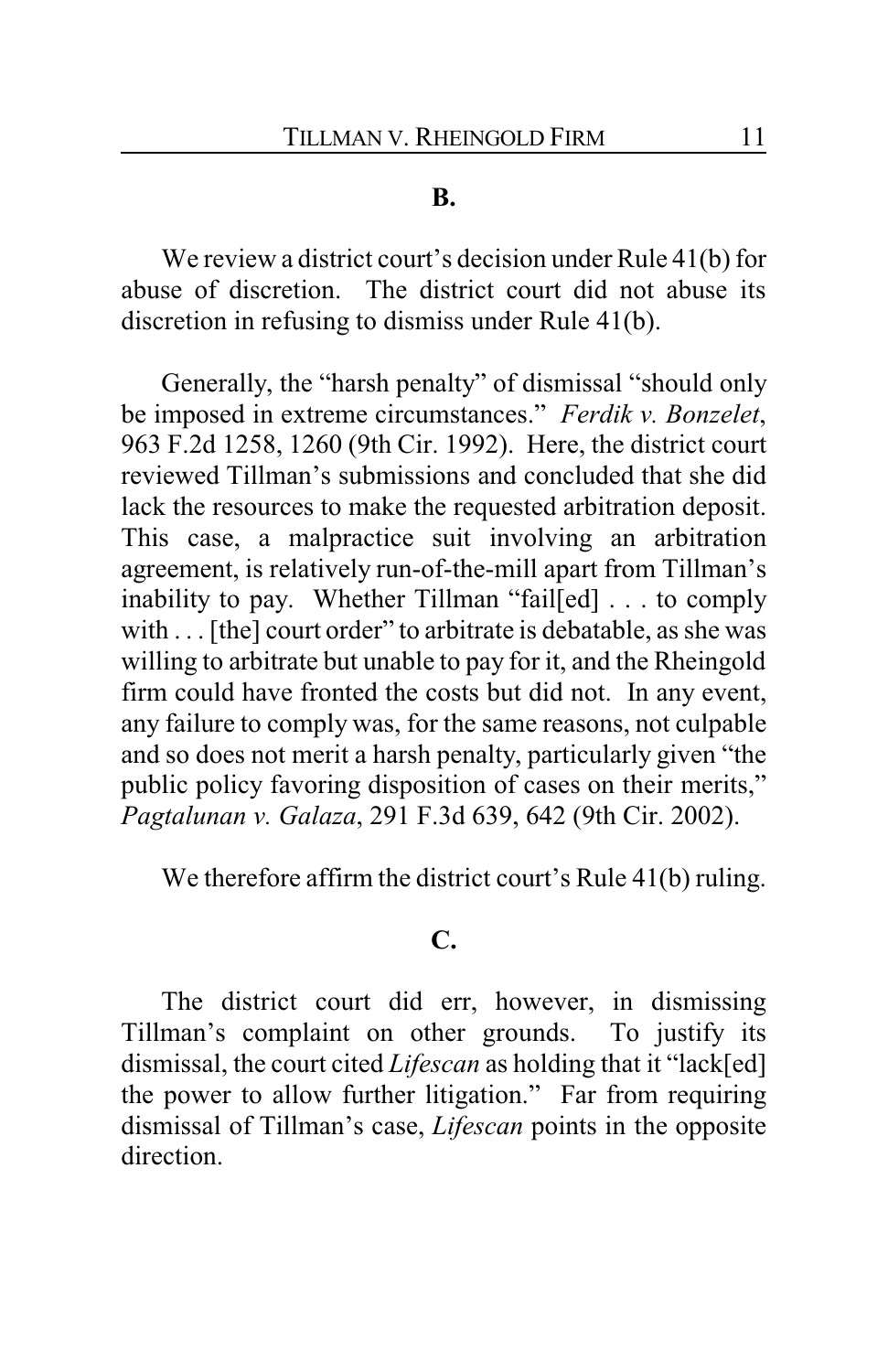#### **B.**

We review a district court's decision under Rule 41(b) for abuse of discretion. The district court did not abuse its discretion in refusing to dismiss under Rule 41(b).

Generally, the "harsh penalty" of dismissal "should only be imposed in extreme circumstances." *Ferdik v. Bonzelet*, 963 F.2d 1258, 1260 (9th Cir. 1992). Here, the district court reviewed Tillman's submissions and concluded that she did lack the resources to make the requested arbitration deposit. This case, a malpractice suit involving an arbitration agreement, is relatively run-of-the-mill apart from Tillman's inability to pay. Whether Tillman "fail[ed] . . . to comply with . . . [the] court order" to arbitrate is debatable, as she was willing to arbitrate but unable to pay for it, and the Rheingold firm could have fronted the costs but did not. In any event, any failure to comply was, for the same reasons, not culpable and so does not merit a harsh penalty, particularly given "the public policy favoring disposition of cases on their merits," *Pagtalunan v. Galaza*, 291 F.3d 639, 642 (9th Cir. 2002).

We therefore affirm the district court's Rule 41(b) ruling.

#### **C.**

The district court did err, however, in dismissing Tillman's complaint on other grounds. To justify its dismissal, the court cited *Lifescan* as holding that it "lack[ed] the power to allow further litigation." Far from requiring dismissal of Tillman's case, *Lifescan* points in the opposite direction.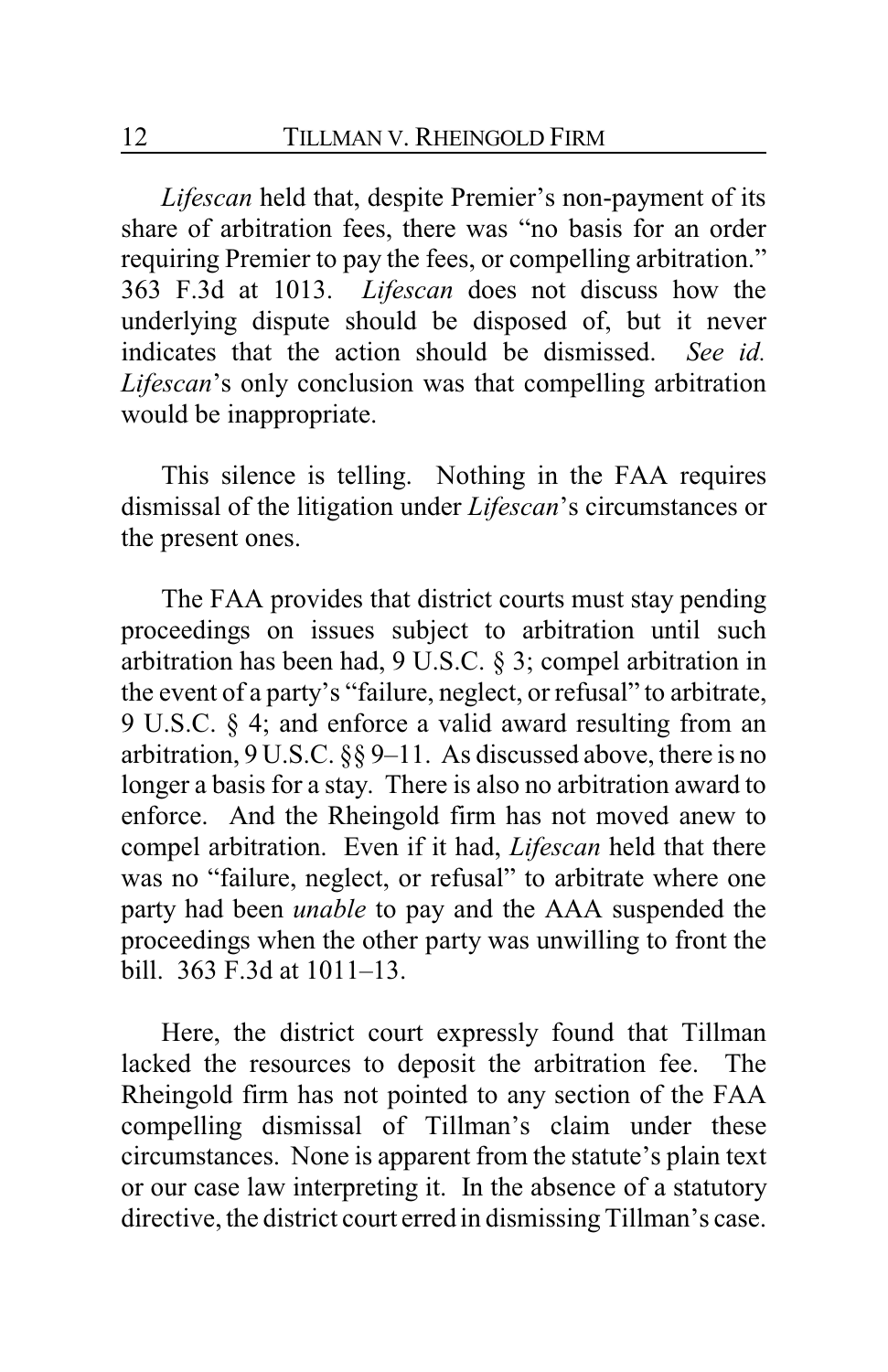*Lifescan* held that, despite Premier's non-payment of its share of arbitration fees, there was "no basis for an order requiring Premier to pay the fees, or compelling arbitration." 363 F.3d at 1013. *Lifescan* does not discuss how the underlying dispute should be disposed of, but it never indicates that the action should be dismissed. *See id. Lifescan*'s only conclusion was that compelling arbitration would be inappropriate.

This silence is telling. Nothing in the FAA requires dismissal of the litigation under *Lifescan*'s circumstances or the present ones.

The FAA provides that district courts must stay pending proceedings on issues subject to arbitration until such arbitration has been had, 9 U.S.C. § 3; compel arbitration in the event of a party's "failure, neglect, or refusal" to arbitrate, 9 U.S.C. § 4; and enforce a valid award resulting from an arbitration, 9 U.S.C. §§ 9–11. As discussed above, there is no longer a basis for a stay. There is also no arbitration award to enforce. And the Rheingold firm has not moved anew to compel arbitration. Even if it had, *Lifescan* held that there was no "failure, neglect, or refusal" to arbitrate where one party had been *unable* to pay and the AAA suspended the proceedings when the other party was unwilling to front the bill. 363 F.3d at 1011–13.

Here, the district court expressly found that Tillman lacked the resources to deposit the arbitration fee. The Rheingold firm has not pointed to any section of the FAA compelling dismissal of Tillman's claim under these circumstances. None is apparent from the statute's plain text or our case law interpreting it. In the absence of a statutory directive, the district court erred in dismissing Tillman's case.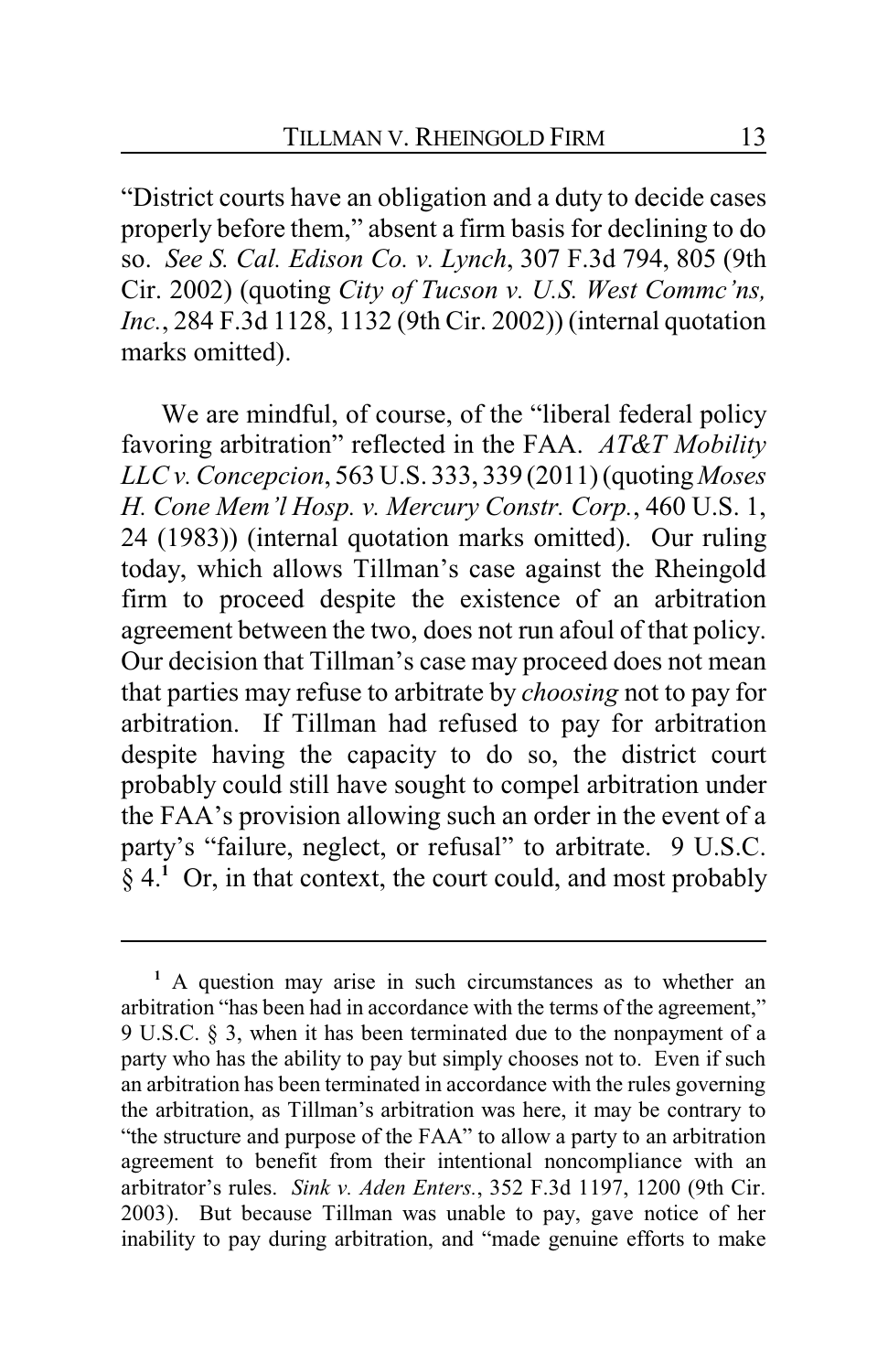"District courts have an obligation and a duty to decide cases properly before them," absent a firm basis for declining to do so. *See S. Cal. Edison Co. v. Lynch*, 307 F.3d 794, 805 (9th Cir. 2002) (quoting *City of Tucson v. U.S. West Commc'ns, Inc.*, 284 F.3d 1128, 1132 (9th Cir. 2002)) (internal quotation marks omitted).

We are mindful, of course, of the "liberal federal policy favoring arbitration" reflected in the FAA. *AT&T Mobility LLC v. Concepcion*, 563 U.S. 333, 339 (2011) (quoting *Moses H. Cone Mem'l Hosp. v. Mercury Constr. Corp.*, 460 U.S. 1, 24 (1983)) (internal quotation marks omitted). Our ruling today, which allows Tillman's case against the Rheingold firm to proceed despite the existence of an arbitration agreement between the two, does not run afoul of that policy. Our decision that Tillman's case may proceed does not mean that parties may refuse to arbitrate by *choosing* not to pay for arbitration. If Tillman had refused to pay for arbitration despite having the capacity to do so, the district court probably could still have sought to compel arbitration under the FAA's provision allowing such an order in the event of a party's "failure, neglect, or refusal" to arbitrate. 9 U.S.C. § 4.**<sup>1</sup>** Or, in that context, the court could, and most probably

**<sup>1</sup>** A question may arise in such circumstances as to whether an arbitration "has been had in accordance with the terms of the agreement," 9 U.S.C. § 3, when it has been terminated due to the nonpayment of a party who has the ability to pay but simply chooses not to. Even if such an arbitration has been terminated in accordance with the rules governing the arbitration, as Tillman's arbitration was here, it may be contrary to "the structure and purpose of the FAA" to allow a party to an arbitration agreement to benefit from their intentional noncompliance with an arbitrator's rules. *Sink v. Aden Enters.*, 352 F.3d 1197, 1200 (9th Cir. 2003). But because Tillman was unable to pay, gave notice of her inability to pay during arbitration, and "made genuine efforts to make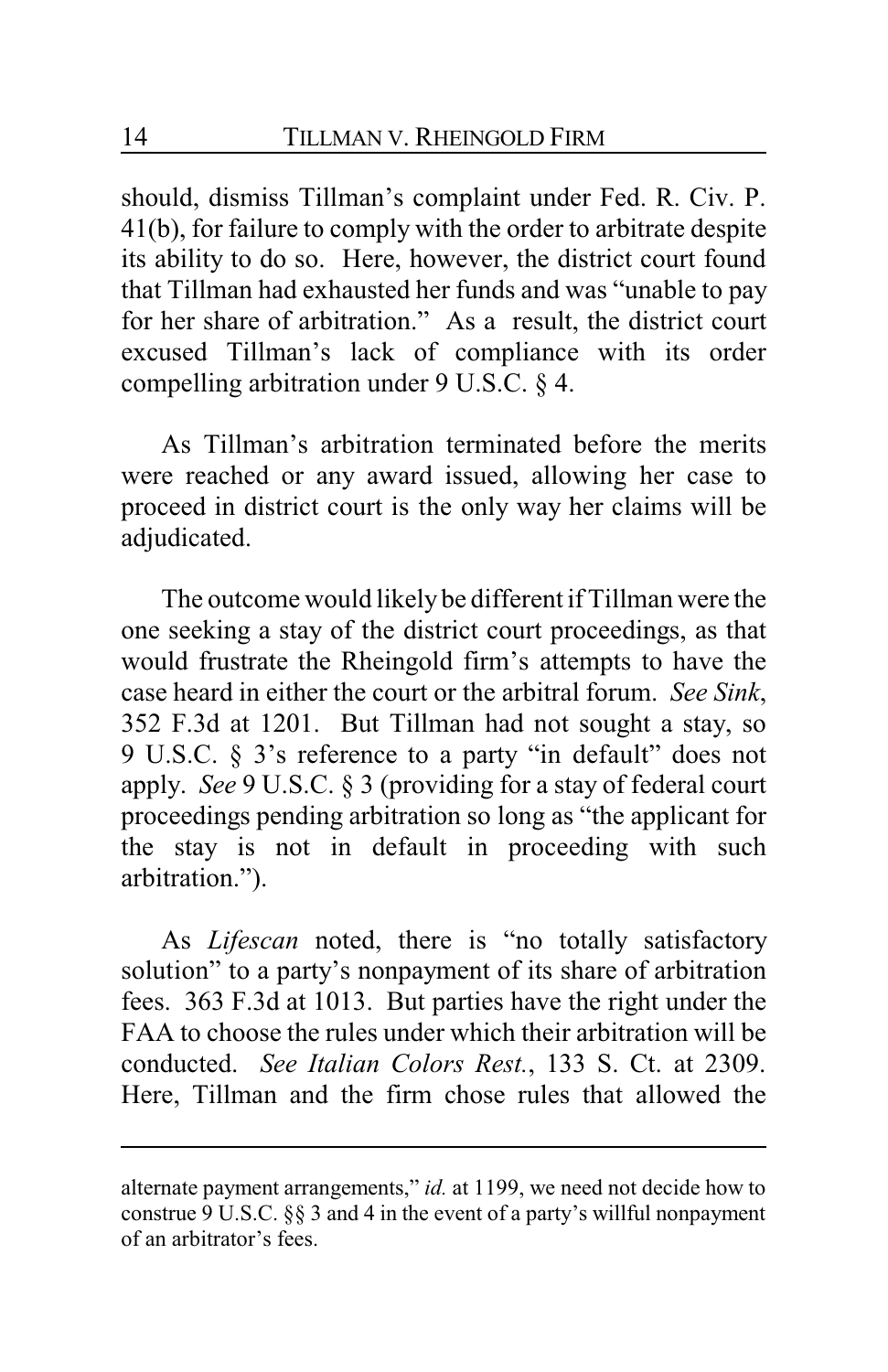should, dismiss Tillman's complaint under Fed. R. Civ. P. 41(b), for failure to comply with the order to arbitrate despite its ability to do so. Here, however, the district court found that Tillman had exhausted her funds and was "unable to pay for her share of arbitration." As a result, the district court excused Tillman's lack of compliance with its order compelling arbitration under 9 U.S.C. § 4.

As Tillman's arbitration terminated before the merits were reached or any award issued, allowing her case to proceed in district court is the only way her claims will be adjudicated.

The outcome would likely be different if Tillman were the one seeking a stay of the district court proceedings, as that would frustrate the Rheingold firm's attempts to have the case heard in either the court or the arbitral forum. *See Sink*, 352 F.3d at 1201. But Tillman had not sought a stay, so 9 U.S.C. § 3's reference to a party "in default" does not apply. *See* 9 U.S.C. § 3 (providing for a stay of federal court proceedings pending arbitration so long as "the applicant for the stay is not in default in proceeding with such arbitration.").

As *Lifescan* noted, there is "no totally satisfactory solution" to a party's nonpayment of its share of arbitration fees. 363 F.3d at 1013. But parties have the right under the FAA to choose the rules under which their arbitration will be conducted. *See Italian Colors Rest.*, 133 S. Ct. at 2309. Here, Tillman and the firm chose rules that allowed the

alternate payment arrangements," *id.* at 1199, we need not decide how to construe 9 U.S.C. §§ 3 and 4 in the event of a party's willful nonpayment of an arbitrator's fees.